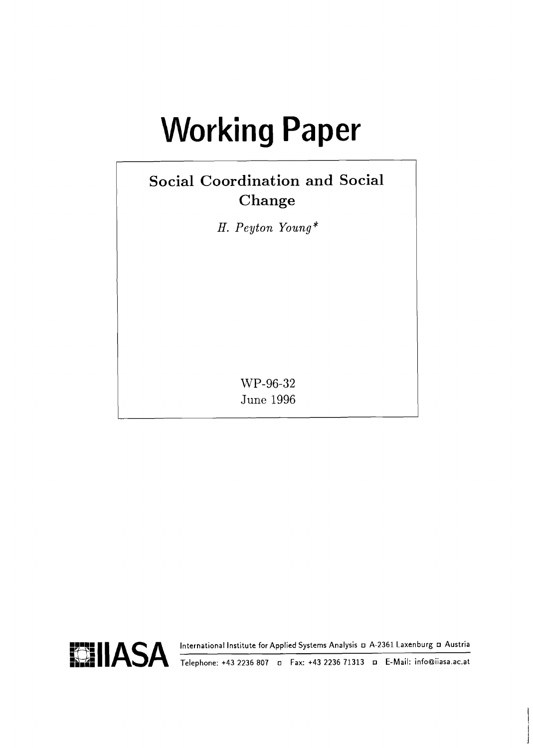# **Working Paper**

# **Social Coordination and Social Change**

H. Peyton Young\*

WP-96-32 **June 1996** 

**HI. A. SA International Institute for Applied Systems Analysis D A-2361 Laxenburg D Austria** *Telephone***: +43 2236 807 <b>o Fax: +43 2236 71313 D E-Mail: info@iiasa.ac.at** 

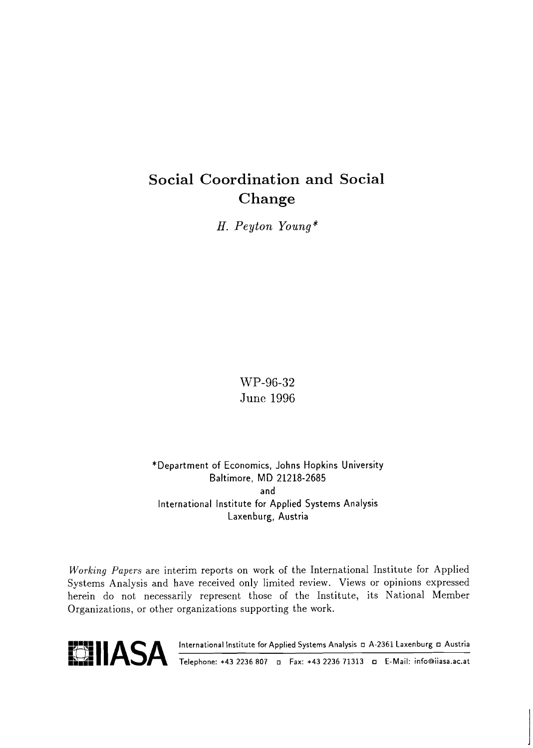# **Social Coordination and Social Change**

*H. Peyton Young\** 

WP-96-32 June 1996

\*Department of Economics, Johns Hopkins University Baltimore, MD 21218-2685 and International lnstitute for Applied Systems Analysis Laxen burg, Austria

Working Papers are interim reports on work of the International Institute for Applied Systems Analysis and have received only limited review. Views or opinions expressed herein do not necessarily represent those of the Institute, its National Member Organizations, or other organizations supporting the work.

**ENTREM CONSTRANT (INCOLUTER IN ANALYSIS IS A-2361 Laxenburg D Austria)**<br>
Telephone: +43 2236 807 **p** Fax: +43 2236 71313 **p** E-Mail: info@iiasa.ac.at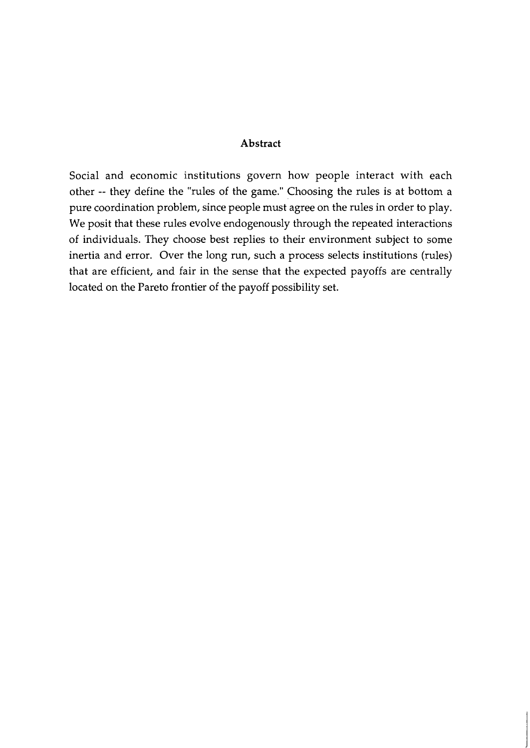#### **Abstract**

Social and economic institutions govern how people interact with each other -- they define the "rules of the game." Choosing the rules is at bottom a pure coordination problem, since people must agree on the rules in order to play. We posit that these rules evolve endogenously through the repeated interactions of individuals. They choose best replies to their environment subject to some inertia and error. Over the long run, such a process selects institutions (rules) that are efficient, and fair in the sense that the expected payoffs are centrally located on the Pareto frontier of the payoff possibility set.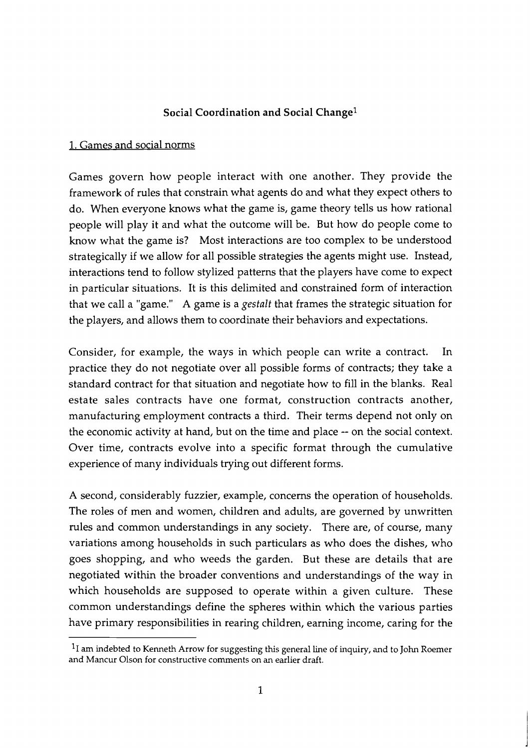## Social Coordination and Social Change<sup>1</sup>

### 1. Games and social norms

Games govern how people interact with one another. They provide the framework of rules that constrain what agents do and what they expect others to do. When everyone knows what the game is, game theory tells us how rational people will play it and what the outcome will be. But how do people come to know what the game is? Most interactions are too complex to be understood strategically if we allow for all possible strategies the agents might use. Instead, interactions tend to follow stylized patterns that the players have come to expect in particular situations. It is this delimited and constrained form of interaction that we call a "game." **A** game is a gestalt that frames the strategic situation for the players, and allows them to coordinate their behaviors and expectations.

Consider, for example, the ways in which people can write a contract. In practice they do not negotiate over all possible forms of contracts; they take a standard contract for that situation and negotiate how to fill in the blanks. Real estate sales contracts have one format, construction contracts another, manufacturing employment contracts a third. Their terms depend not only on the economic activity at hand, but on the time and place -- on the social context. Over time, contracts evolve into a specific format through the cumulative experience of many individuals trying out different forms.

**A** second, considerably fuzzier, example, concerns the operation of households. The roles of men and women, children and adults, are governed by unwritten rules and common understandings in any society. There are, of course, many variations among households in such particulars as who does the dishes, who goes shopping, and who weeds the garden. But these are details that are negotiated within the broader conventions and understandings of the way in which households are supposed to operate within a given culture. These common understandings define the spheres within which the various parties have primary responsibilities in rearing children, earning income, caring for the

 $<sup>1</sup>I$  am indebted to Kenneth Arrow for suggesting this general line of inquiry, and to John Roemer</sup> and Mancur Olson for constructive comments on an earlier draft.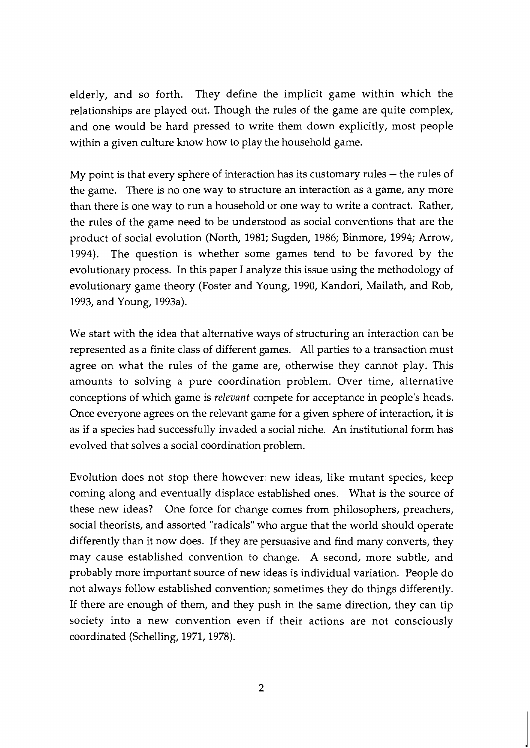elderly, and so forth. They define the implicit game within which the relationships are played out. Though the rules of the game are quite complex, and one would be hard pressed to write them down explicitly, most people within a given culture know how to play the household game.

My point is that every sphere of interaction has its customary rules -- the rules of the game. There is no one way to structure an interaction as a game, any more than there is one way to run a household or one way to write a contract. Rather, the rules of the game need to be understood as social conventions that are the product of social evolution (North, 1981; Sugden, 1986; Binmore, 1994; Arrow, 1994). The question is whether some games tend to be favored by the evolutionary process. In this paper I analyze this issue using the methodology of evolutionary game theory (Foster and Young, 1990, Kandori, Mailath, and Rob, 1993, and Young, 1993a).

We start with the idea that alternative ways of structuring an interaction can be represented as a finite class of different games. All parties to a transaction must agree on what the rules of the game are, otherwise they cannot play. This amounts to solving a pure coordination problem. Over time, alternative conceptions of which game is relevant compete for acceptance in people's heads. Once everyone agrees on the relevant game for a given sphere of interaction, it is as if a species had successfully invaded a social niche. An institutional form has evolved that solves a social coordination problem.

Evolution does not stop there however: new ideas, like mutant species, keep coming along and eventually displace established ones. What is the source of these new ideas? One force for change comes from philosophers, preachers, social theorists, and assorted "radicals" who argue that the world should operate differently than it now does. If they are persuasive and find many converts, they may cause established convention to change. A second, more subtle, and probably more important source of new ideas is individual variation. People do not always follow established convention; sometimes they do things differently. If there are enough of them, and they push in the same direction, they can tip society into a new convention even if their actions are not consciously coordinated (Schelling, 1971,1978).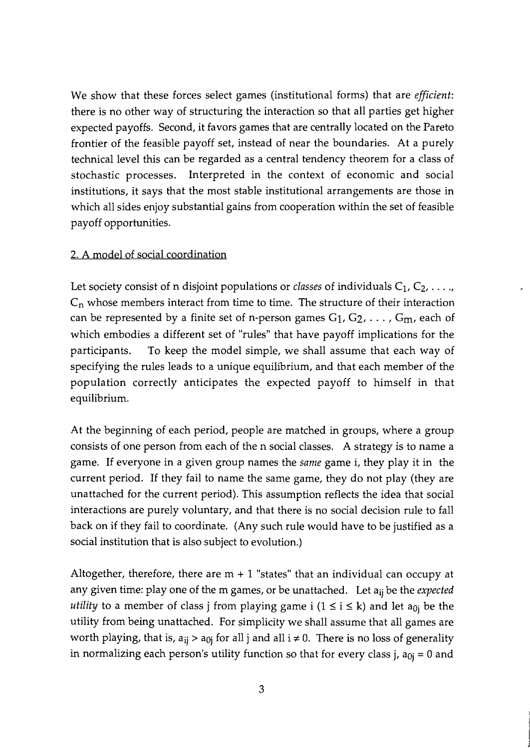We show that these forces select games (institutional forms) that are *efficient:*  there is no other way of structuring the interaction so that all parties get higher expected payoffs. Second, it favors games that are centrally located on the Pareto frontier of the feasible payoff set, instead of near the boundaries. At a purely technical level this can be regarded as a central tendency theorem for a class of stochastic processes. Interpreted in the context of economic and social institutions, it says that the most stable institutional arrangements are those in which all sides enjoy substantial gains from cooperation within the set of feasible payoff opportunities.

# 2. A model of social coordination

Let society consist of n disjoint populations or *classes* of individuals  $C_1, C_2, \ldots$  $C_n$  whose members interact from time to time. The structure of their interaction can be represented by a finite set of n-person games  $G_1, G_2, \ldots, G_m$ , each of which embodies a different set of "rules" that have payoff implications for the participants. To keep the model simple, we shall assume that each way of specifying the rules leads to a unique equilibrium, and that each member of the population correctly anticipates the expected payoff to himself in that equilibrium.

At the beginning of each period, people are matched in groups, where a group consists of one person from each of the n social classes. A strategy is to name a game. If everyone in a given group names the *same* game i, they play it in the current period. If they fail to name the same game, they do not play (they are unattached for the current period). This assumption reflects the idea that social interactions are purely voluntary, and that there is no social decision rule to fall back on if they fail to coordinate. (Any such rule would have to be justified as a social institution that is also subject to evolution.)

Altogether, therefore, there are  $m + 1$  "states" that an individual can occupy at any given time: play one of the m games, or be unattached. Let aij be the *expected utility* to a member of class j from playing game i  $(1 \le i \le k)$  and let a<sub>0j</sub> be the utility from being unattached. For simplicity we shall assume that all games are worth playing, that is,  $a_{ij} > a_{0j}$  for all j and all  $i \neq 0$ . There is no loss of generality in normalizing each person's utility function so that for every class j,  $a_{0i} = 0$  and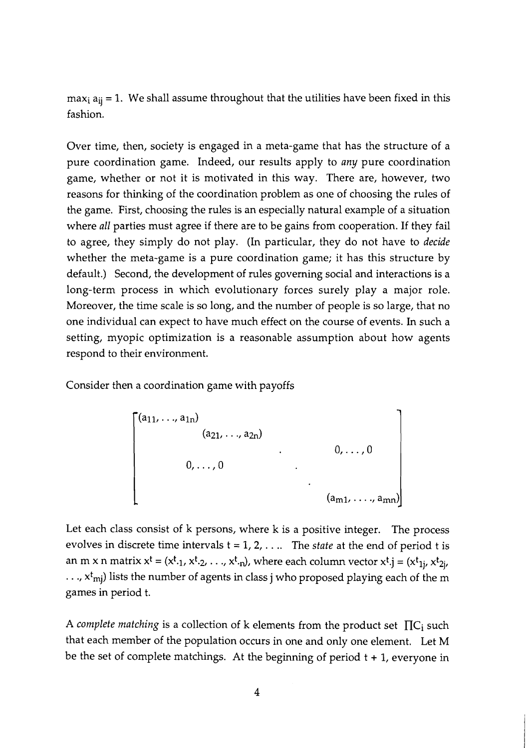$max_i a_{ii} = 1$ . We shall assume throughout that the utilities have been fixed in this fashion.

Over time, then, society is engaged in a meta-game that has the structure of a pure coordination game. Indeed, our results apply to *any* pure coordination game, whether or not it is motivated in this way. There are, however, two reasons for thinking of the coordination problem as one of choosing the rules of the game. First, choosing the rules is an especially natural example of a situation where *all* parties must agree if there are to be gains from cooperation. If they fail to agree, they simply do not play. (In particular, they do not have to *decide*  whether the meta-game is a pure coordination game; it has this structure by default.) Second, the development of rules governing social and interactions is a long-term process in which evolutionary forces surely play a major role. Moreover, the time scale is so long, and the number of people is so large, that no one individual can expect to have much effect on the course of events. In such a setting, myopic optimization is a reasonable assumption about how agents respond to their environment.

Consider then a coordination game with payoffs

$$
\begin{bmatrix}\n(a_{11}, \ldots, a_{1n}) & & & & \\
 & (a_{21}, \ldots, a_{2n}) & & & \\
 & & \ddots & & \\
 & & & & 0, \ldots, 0\n\end{bmatrix}
$$
\n
$$
(a_{m1}, \ldots, a_{mn})
$$

Let each class consist of k persons, where k is a positive integer. The process evolves in discrete time intervals  $t = 1, 2, \ldots$  The *state* at the end of period t is an m x n matrix  $x^t = (x^t, 1, x^t, 2, \ldots, x^t, n)$ , where each column vector  $x^t$ .j =  $(x^t, 1, x^t, 2, n)$  $\ldots$ ,  $x^{t}$ <sub>mj</sub>) lists the number of agents in class j who proposed playing each of the m games in period t.

A *complete matching* is a collection of k elements from the product set  $\prod C_i$  such that each member of the population occurs in one and only one element. Let M be the set of complete matchings. At the beginning of period  $t + 1$ , everyone in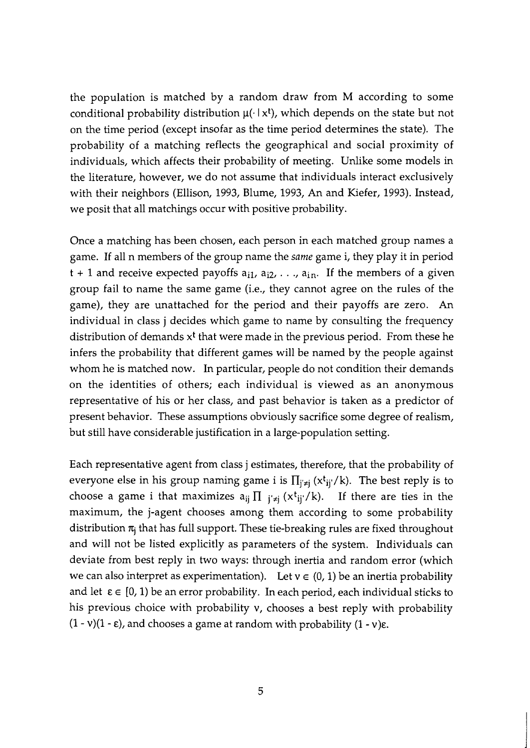the population is matched by a random draw from M according to some conditional probability distribution  $\mu(\cdot | x^t)$ , which depends on the state but not on the time period (except insofar as the time period determines the state). The probability of a matching reflects the geographical and social proximity of individuals, which affects their probability of meeting. Unlike some models in the literature, however, we do not assume that individuals interact exclusively with their neighbors (Ellison, 1993, Blume, 1993, An and Kiefer, 1993). Instead, we posit that all matchings occur with positive probability.

Once a matching has been chosen, each person in each matched group names a game. If all n members of the group name the same game i, they play it in period  $t + 1$  and receive expected payoffs  $a_{i1}$ ,  $a_{i2}$ , ...,  $a_{in}$ . If the members of a given group fail to name the same game (i.e., they cannot agree on the rules of the game), they are unattached for the period and their payoffs are zero. An individual in class j decides which game to name by consulting the frequency distribution of demands  $x<sup>t</sup>$  that were made in the previous period. From these he infers the probability that different games will be named by the people against whom he is matched now. In particular, people do not condition their demands on the identities of others; each individual is viewed as an anonymous representative of his or her class, and past behavior is taken as a predictor of present behavior. These assumptions obviously sacrifice some degree of realism, but still have considerable justification in a large-population setting.

Each representative agent from class j estimates, therefore, that the probability of everyone else in his group naming game i is  $\prod_{i\neq j} (x^t_{ij}/k)$ . The best reply is to choose a game i that maximizes  $a_{ij} \prod_{j \neq j} (x^t_{ij}/k)$ . If there are ties in the maximum, the j-agent chooses among them according to some probability distribution  $\pi_i$  that has full support. These tie-breaking rules are fixed throughout and will not be listed explicitly as parameters of the system. Individuals can deviate from best reply in two ways: through inertia and random error (which we can also interpret as experimentation). Let  $v \in (0, 1)$  be an inertia probability and let  $\varepsilon \in [0, 1)$  be an error probability. In each period, each individual sticks to his previous choice with probability v, chooses a best reply with probability  $(1 - v)(1 - \varepsilon)$ , and chooses a game at random with probability  $(1 - v)\varepsilon$ .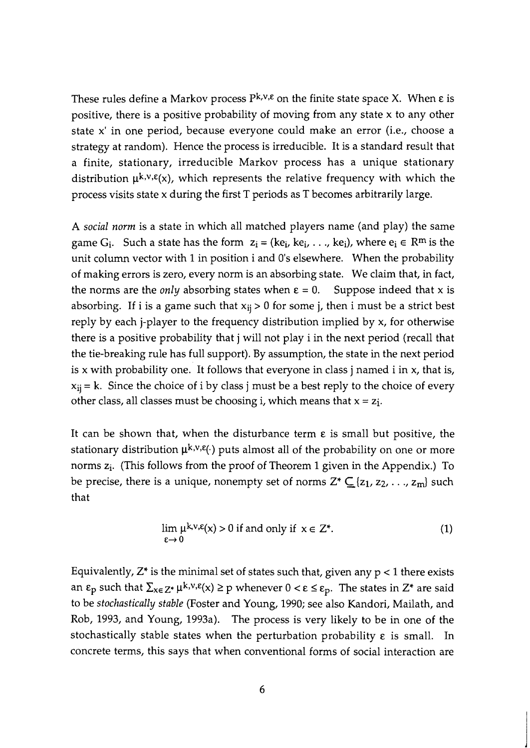These rules define a Markov process  $P^{k,v,\epsilon}$  on the finite state space X. When  $\epsilon$  is positive, there is a positive probability of moving from any state x to any other state x' in one period, because everyone could make an error (i.e., choose a strategy at random). Hence the process is irreducible. It is a standard result that a finite, stationary, irreducible Markov process has a unique stationary distribution  $\mu^{k,v,\epsilon}(x)$ , which represents the relative frequency with which the process visits state x during the first T periods as T becomes arbitrarily large.

A *social norm* is a state in which all matched players name (and play) the same game G<sub>i</sub>. Such a state has the form  $z_i = (ke_i, ke_i, \ldots, ke_i)$ , where  $e_i \in \mathbb{R}^m$  is the unit column vector with 1 in position i and 0's elsewhere. When the probability of making errors is zero, every norm is an absorbing state. We claim that, in fact, the norms are the *only* absorbing states when  $\varepsilon = 0$ . Suppose indeed that x is absorbing. If i is a game such that  $x_{ij} > 0$  for some j, then i must be a strict best reply by each j-player to the frequency distribution implied by x, for otherwise there is a positive probability that j will not play i in the next period (recall that the tie-breaking rule has full support). By assumption, the state in the next period is  $x$  with probability one. It follows that everyone in class j named  $i$  in  $x$ , that is,  $x_{ij} = k$ . Since the choice of i by class j must be a best reply to the choice of every other class, all classes must be choosing i, which means that  $x = z_i$ .

It can be shown that, when the disturbance term **E** is small but positive, the stationary distribution  $\mu^{k,v,\epsilon}(\cdot)$  puts almost all of the probability on one or more norms  $z_i$ . (This follows from the proof of Theorem 1 given in the Appendix.) To be precise, there is a unique, nonempty set of norms  $Z^* \subseteq \{z_1, z_2, \ldots, z_m\}$  such that

$$
\lim_{\varepsilon \to 0} \mu^{k, v, \varepsilon}(x) > 0 \text{ if and only if } x \in \mathbb{Z}^*.
$$
 (1)

Equivalently,  $Z^*$  is the minimal set of states such that, given any  $p < 1$  there exists an  $\varepsilon_p$  such that  $\sum_{x \in \mathbb{Z}^*} \mu^{k,v,\epsilon}(x) \geq p$  whenever  $0 < \varepsilon \leq \varepsilon_p$ . The states in  $\mathbb{Z}^*$  are said to be *stochastically stable* (Foster and Young, 1990; see also Kandori, Mailath, and Rob, 1993, and Young, 1993a). The process is very likely to be in one of the stochastically stable states when the perturbation probability **E** is small. In concrete terms, this says that when conventional forms of social interaction are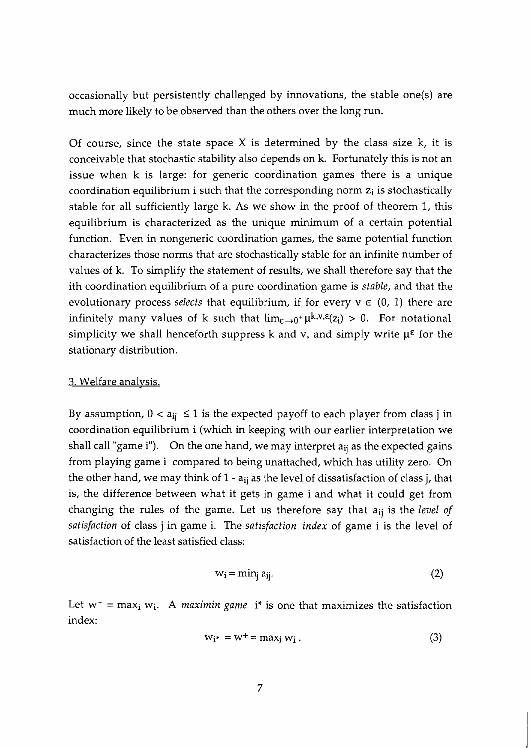occasionally but persistently challenged by innovations, the stable one(s) are much more likely to be observed than the others over the long run.

Of course, since the state space  $X$  is determined by the class size  $k$ , it is conceivable that stochastic stability also depends on k. Fortunately this is not an issue when k is large: for generic coordination games there is a unique coordination equilibrium i such that the corresponding norm  $z_i$  is stochastically stable for all sufficiently large k. As we show in the proof of theorem 1, this equilibrium is characterized as the unique minimum of a certain potential function. Even in nongeneric coordination games, the same potential function characterizes those norms that are stochastically stable for an infinite number of values of k. To simplify the statement of results, we shall therefore say that the ith coordination equilibrium of a pure coordination game is stable, and that the evolutionary process *selects* that equilibrium, if for every  $v \in (0, 1)$  there are infinitely many values of k such that  $\lim_{\varepsilon\to 0^+}\mu^{k,v,\varepsilon}(z_i) > 0$ . For notational simplicity we shall henceforth suppress k and v, and simply write  $\mu^{\epsilon}$  for the stationary distribution.

#### 3. Welfare analvsis.

By assumption,  $0 < a_{ij} \le 1$  is the expected payoff to each player from class j in coordination equilibrium i (which in keeping with our earlier interpretation we shall call "game i"). On the one hand, we may interpret  $a_{ij}$  as the expected gains from playing game i compared to being unattached, which has utility zero. On the other hand, we may think of  $1 - a_{ii}$  as the level of dissatisfaction of class j, that is, the difference between what it gets in game i and what it could get from changing the rules of the game. Let us therefore say that  $a_{ii}$  is the level of satisfaction of class j in game i. The satisfaction index of game i is the level of satisfaction of the least satisfied class:

$$
w_i = \min_j a_{ij}.
$$
 (2)

Let  $w^+$  = max<sub>i</sub> w<sub>i</sub>. A *maximin game* i<sup>\*</sup> is one that maximizes the satisfaction index:

$$
w_{i^*} = w^+ = \max_i w_i \tag{3}
$$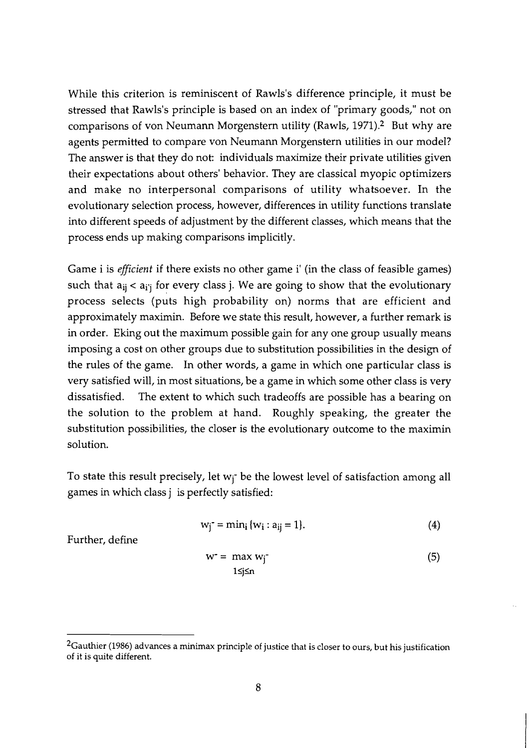While this criterion is reminiscent of Rawls's difference principle, it must be stressed that Rawls's principle is based on an index of "primary goods," not on comparisons of von Neumann Morgenstern utility (Rawls, 1971).2 But why are agents permitted to compare von Neumann Morgenstern utilities in our model? The answer is that they do not: individuals maximize their private utilities given their expectations about others' behavior. They are classical myopic optimizers and make no interpersonal comparisons of utility whatsoever. In the evolutionary selection process, however, differences in utility functions translate into different speeds of adjustment by the different classes, which means that the process ends up making comparisons implicitly.

Game i is **efficient** if there exists no other game i' (in the class of feasible games) such that  $a_{ii} < a_{i'i}$  for every class j. We are going to show that the evolutionary process selects (puts high probability on) norms that are efficient and approximately maximin. Before we state this result, however, a further remark is in order. Eking out the maximum possible gain for any one group usually means imposing a cost on other groups due to substitution possibilities in the design of the rules of the game. In other words, a game in which one particular class is very satisfied will, in most situations, be a game in which some other class is very dissatisfied. The extent to which such tradeoffs are possible has a bearing on the solution to the problem at hand. Roughly speaking, the greater the substitution possibilities, the closer is the evolutionary outcome to the maximin solution.

To state this result precisely, let  $w_i$ <sup>-</sup> be the lowest level of satisfaction among all games in which class j is perfectly satisfied:

$$
w_j^{\text{-}} = \min_i \{w_i : a_{ij} = 1\}.
$$
 (4)

Further, define

$$
w^* = \max w_j
$$
  
1≤j≤n (5)

<sup>&</sup>lt;sup>2</sup>Gauthier (1986) advances a minimax principle of justice that is closer to ours, but his justification of it is quite different.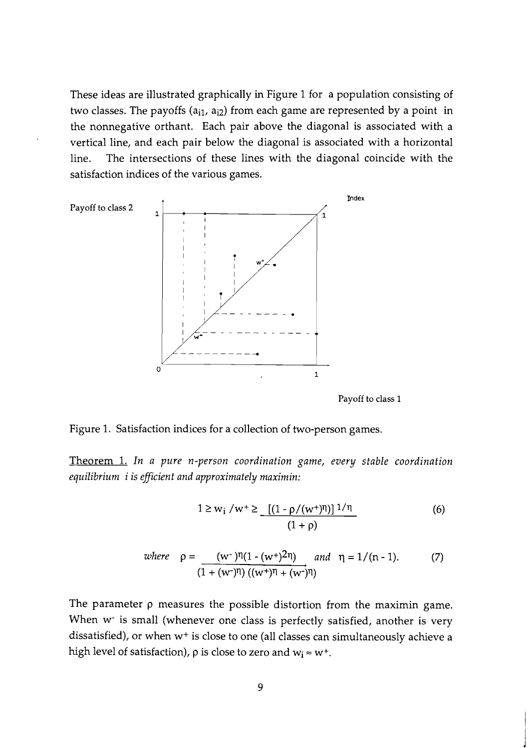These ideas are illustrated graphically in Figure 1 for a population consisting of two classes. The payoffs ( $a_{i1}$ ,  $a_{i2}$ ) from each game are represented by a point in the nonnegative orthant. Each pair above the diagonal is associated with a vertical line, and each pair below the diagonal is associated with a horizontal line. The intersections of these lines with the diagonal coincide with the satisfaction indices of the various games.



**Payoff to class 1** 

Figure 1. Satisfaction indices for a collection of two-person games.

Theorem 1. *In a pure n-person coordination game, every stable coordination equilibrium i is efficient and approximately maximin:* 

$$
1 \ge w_i / w^+ \ge \frac{[(1 - \rho/(w^+)^n)]^{1/\eta}}{(1 + \rho)}
$$
 (6)

where 
$$
\rho = \frac{(w^{-})\eta(1 - (w^{+})^{2}\eta)}{(1 + (w^{-})\eta)((w^{+})\eta + (w^{-})\eta)}
$$
 and  $\eta = 1/(n - 1).$  (7)

The parameter p measures the possible distortion from the maximin game. When w<sup>-</sup> is small (whenever one class is perfectly satisfied, another is very dissatisfied), or when w+ is close to one (all classes can simultaneously achieve a high level of satisfaction),  $\rho$  is close to zero and  $w_i \approx w^+$ .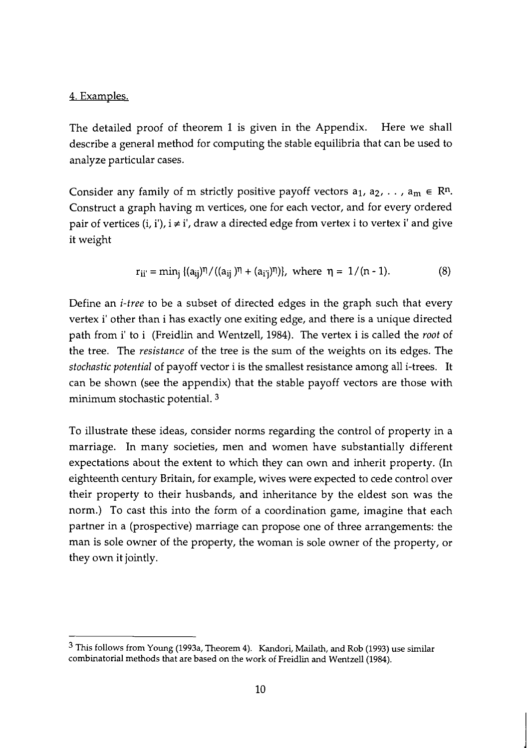### 4. Examples.

The detailed proof of theorem 1 is given in the Appendix. Here we shall describe a general method for computing the stable equilibria that can be used to analyze particular cases.

Consider any family of m strictly positive payoff vectors  $a_1, a_2, \ldots, a_m \in \mathbb{R}^n$ . Construct a graph having m vertices, one for each vector, and for every ordered pair of vertices (i, i'),  $i \neq i'$ , draw a directed edge from vertex i to vertex i' and give it weight

$$
r_{ii'} = min_j \{(a_{ij})^{\eta}/((a_{ij})^{\eta} + (a_{i'j})^{\eta})\}, \text{ where } \eta = 1/(n-1).
$$
 (8)

Define an *i-tree* to be a subset of directed edges in the graph such that every vertex i' other than i has exactly one exiting edge, and there is a unique directed path from i' to i (Freidlin and Wentzell, 1984). The vertex i is called the *root* of the tree. The *resistance* of the tree is the sum of the weights on its edges. The *stochastic potential* of payoff vector i is the smallest resistance among all i-trees. It can be shown (see the appendix) that the stable payoff vectors are those with minimum stochastic potential. **<sup>3</sup>**

To illustrate these ideas, consider norms regarding the control of property in a marriage. In many societies, men and women have substantially different expectations about the extent to which they can own and inherit property. (In eighteenth century Britain, for example, wives were expected to cede control over their property to their husbands, and inheritance by the eldest son was the norm.) To cast this into the form of a coordination game, imagine that each partner in a (prospective) marriage can propose one of three arrangements: the man is sole owner of the property, the woman is sole owner of the property, or they own it jointly.

This follows from Young (1993a, Theorem 4). Kandori, Mailath, and Rob (1993) use similar combinatorial methods that are based on the work of Freidlin and Wentzell(1984).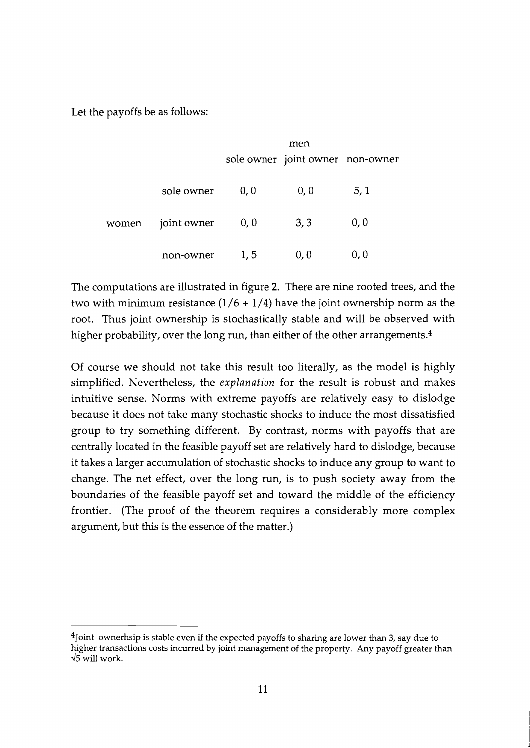Let the payoffs be as follows:

|       |             | men  |                                  |      |
|-------|-------------|------|----------------------------------|------|
|       |             |      | sole owner joint owner non-owner |      |
| women | sole owner  | 0, 0 | 0, 0                             | 5, 1 |
|       | joint owner | 0, 0 | 3,3                              | 0, 0 |
|       | non-owner   | 1,5  | 0,0                              | 0,0  |

The computations are illustrated in figure 2. There are nine rooted trees, and the two with minimum resistance  $(1/6 + 1/4)$  have the joint ownership norm as the root. Thus joint ownership is stochastically stable and will be observed with higher probability, over the long run, than either of the other arrangements.<sup>4</sup>

Of course we should not take this result too literally, as the model is highly simplified. Nevertheless, the *explanation* for the result is robust and makes intuitive sense. Norms with extreme payoffs are relatively easy to dislodge because it does not take many stochastic shocks to induce the most dissatisfied group to try something different. By contrast, norms with payoffs that are centrally located in the feasible payoff set are relatively hard to dislodge, because it takes a larger accumulation of stochastic shocks to induce any group to want to change. The net effect, over the long run, is to push society away from the boundaries of the feasible payoff set and toward the middle of the efficiency frontier. (The proof of the theorem requires a considerably more complex argument, but this is the essence of the matter.)

<sup>&</sup>lt;sup>4</sup>Joint ownerhsip is stable even if the expected payoffs to sharing are lower than 3, say due to higher transactions costs incurred by joint management of the property. Any payoff greater than 45 will work.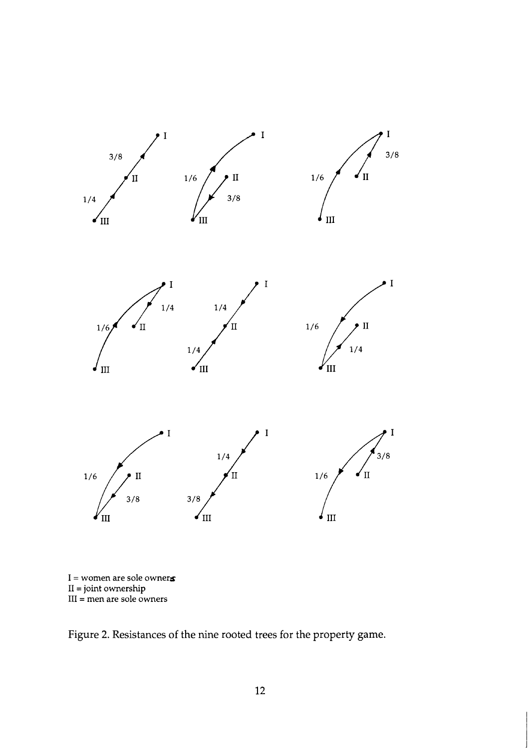

 $I =$  women are sole owners: I1 =joint ownership I11 = men are sole owners

Figure 2. Resistances of the nine rooted trees for the property game.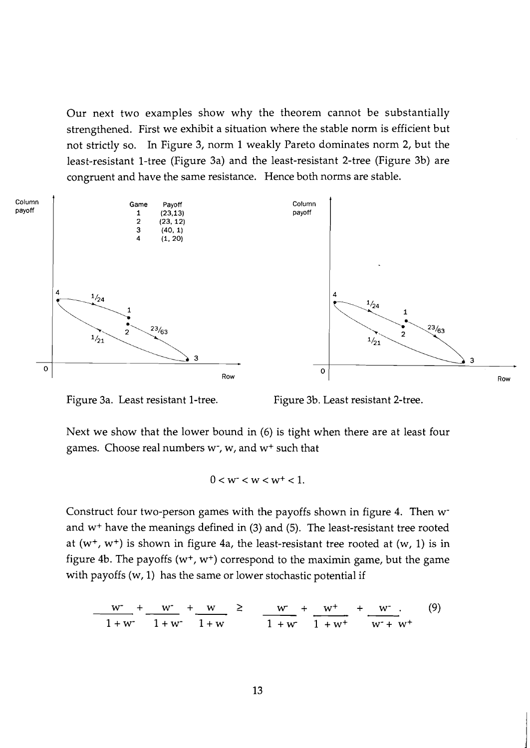Our next two examples show why the theorem cannot be substantially strengthened. First we exhibit a situation where the stable norm is efficient but not strictly so. In Figure 3, norm 1 weakly Pareto dominates norm 2, but the least-resistant 1-tree (Figure 3a) and the least-resistant 2-tree (Figure 3b) are congruent and have the same resistance. Hence both norms are stable.



Figure 3a. Least resistant 1-tree. Figure 3b. Least resistant 2-tree.

Next we show that the lower bound in (6) is tight when there are at least four games. Choose real numbers  $w^*$ ,  $w$ , and  $w^*$  such that

$$
0 < w < w < w^+ < 1.
$$

Construct four two-person games with the payoffs shown in figure 4. Then wand w+ have the meanings defined in (3) and (5). The least-resistant tree rooted at  $(w^+, w^+)$  is shown in figure 4a, the least-resistant tree rooted at  $(w, 1)$  is in figure 4b. The payoffs ( $w^+$ ,  $w^+$ ) correspond to the maximin game, but the game with payoffs  $(w, 1)$  has the same or lower stochastic potential if

$$
\frac{w}{1+w^{-}} + \frac{w}{1+w^{-}} + \frac{w}{1+w} \ge \frac{w}{1+w^{-}} + \frac{w^{+}}{1+w^{+}} + \frac{w^{-}}{w^{+}+w^{+}} \tag{9}
$$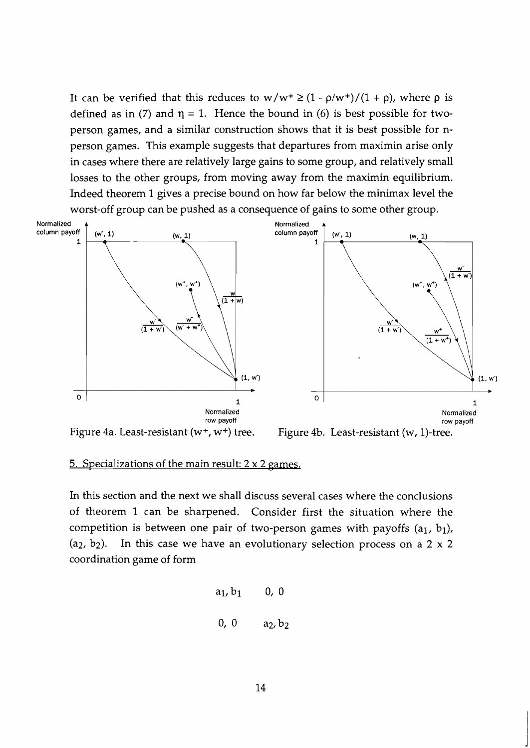It can be verified that this reduces to  $w/w^+ \geq (1 - \rho/w^+)/(1 + \rho)$ , where  $\rho$  is defined as in (7) and  $\eta = 1$ . Hence the bound in (6) is best possible for twoperson games, and a similar construction shows that it is best possible for nperson games. This example suggests that departures from maximin arise only in cases where there are relatively large gains to some group, and relatively small losses to the other groups, from moving away from the maximin equilibrium. Indeed theorem 1 gives a precise bound on how far below the minimax level the worst-off group can be pushed as a consequence of gains to some other group.



#### 5. Specializations of the main result:  $2 \times 2$  games.

In this section and the next we shall discuss several cases where the conclusions of theorem 1 can be sharpened. Consider first the situation where the competition is between one pair of two-person games with payoffs  $(a_1, b_1)$ ,  $(a_2, b_2)$ . In this case we have an evolutionary selection process on a 2 x 2 coordination game of form

$$
a_1, b_1
$$
 0, 0  
0, 0  $a_2, b_2$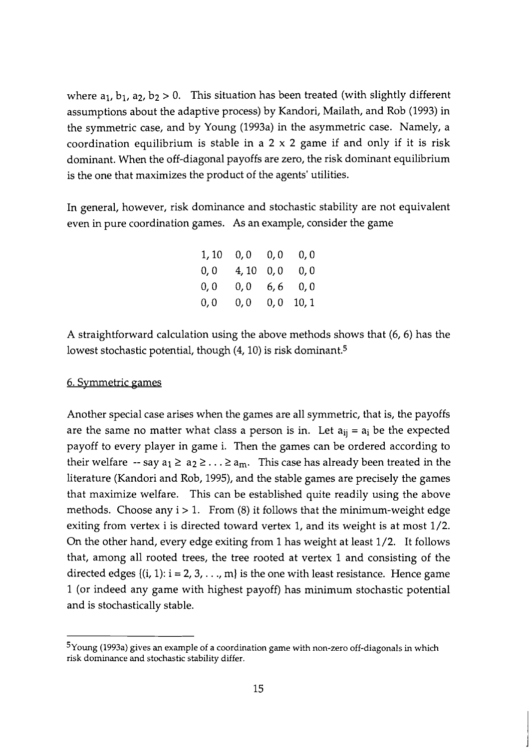where  $a_1$ ,  $b_1$ ,  $a_2$ ,  $b_2 > 0$ . This situation has been treated (with slightly different assumptions about the adaptive process) by Kandori, Mailath, and Rob (1993) in the symmetric case, and by Young (1993a) in the asymmetric case. Namely, a coordination equilibrium is stable in a  $2 \times 2$  game if and only if it is risk dominant. When the off-diagonal payoffs are zero, the risk dominant equilibrium is the one that maximizes the product of the agents' utilities.

In general, however, risk dominance and stochastic stability are not equivalent even in pure coordination games. As an example, consider the game

| 1,10 | 0,0   | 0,0 | 0,0   |
|------|-------|-----|-------|
| 0, 0 | 4, 10 | 0,0 | 0,0   |
| 0, 0 | 0,0   | 6,6 | 0,0   |
| 0,0  | 0,0   | 0,0 | 10, 1 |

A straightforward calculation using the above methods shows that (6,6) has the lowest stochastic potential, though  $(4, 10)$  is risk dominant.<sup>5</sup>

#### 6. Svmmetric games

Another special case arises when the games are all symmetric, that is, the payoffs are the same no matter what class a person is in. Let  $a_{ij} = a_i$  be the expected payoff to every player in game i. Then the games can be ordered according to their welfare  $-$  say  $a_1 \ge a_2 \ge \ldots \ge a_m$ . This case has already been treated in the literature (Kandori and Rob, 1995)) and the stable games are precisely the games that maximize welfare. This can be established quite readily using the above methods. Choose any  $i > 1$ . From (8) it follows that the minimum-weight edge exiting from vertex i is directed toward vertex 1, and its weight is at most 1/2. On the other hand, every edge exiting from 1 has weight at least 1/2. It follows that, among all rooted trees, the tree rooted at vertex 1 and consisting of the directed edges  $\{(i, 1): i = 2, 3, \ldots, m\}$  is the one with least resistance. Hence game 1 (or indeed any game with highest payoff) has minimum stochastic potential and is stochastically stable.

 $5$ Young (1993a) gives an example of a coordination game with non-zero off-diagonals in which risk dominance and stochastic stability differ.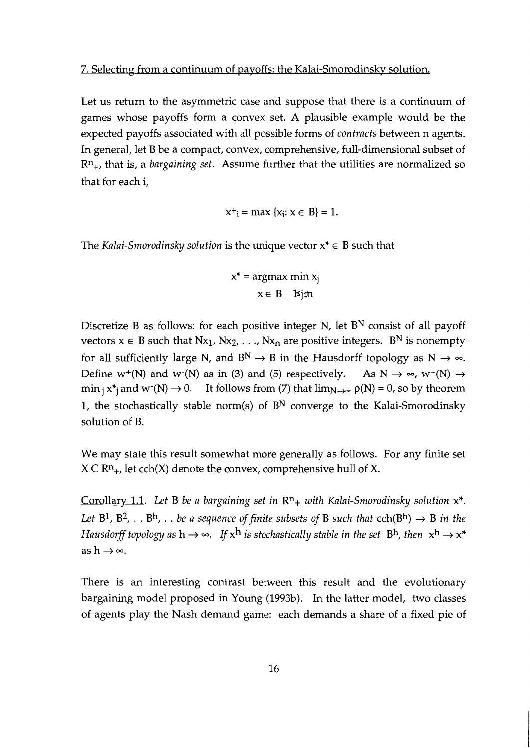#### 7. Selecting from a continuum of pavoffs: the Kalai-Smorodinsky solution.

Let us return to the asymmetric case and suppose that there is a continuum of games whose payoffs form a convex set. A plausible example would be the expected payoffs associated with all possible forms of *contracts* between n agents. In general, let B be a compact, convex, comprehensive, full-dimensional subset of Rn+, that is, a *bargaining set.* Assume further that the utilities are normalized so that for each i,

$$
x^+i = \max \{x_i : x \in B\} = 1.
$$

The *Kalai-Smorodinsky solution* is the unique vector  $x^* \in B$  such that

$$
x^* = \underset{x \in B}{\text{argmax min}} x_j
$$

Discretize B as follows: for each positive integer N, let  $B<sup>N</sup>$  consist of all payoff vectors  $x \in B$  such that  $Nx_1, Nx_2, \ldots, Nx_n$  are positive integers. B<sup>N</sup> is nonempty for all sufficiently large N, and  $B^N \to B$  in the Hausdorff topology as  $N \to \infty$ . Define  $w^+(N)$  and  $w^-(N)$  as in (3) and (5) respectively. As  $N \to \infty$ ,  $w^+(N) \to$  $\min_i x^*$  and  $w^-(N) \to 0$ . It follows from (7) that  $\lim_{N \to \infty} \rho(N) = 0$ , so by theorem 1, the stochastically stable norm(s) of  $B<sup>N</sup>$  converge to the Kalai-Smorodinsky solution of B.

We may state this result somewhat more generally as follows. For any finite set  $X \subset \mathbb{R}^{n}$ , let cch(X) denote the convex, comprehensive hull of X.

Corollarv 1.1. *Let* B *be a bargaining set in Rn+ with Kalai-Smorodinsky solution* x\*. *Let*  $B^1$ ,  $B^2$ , . .  $B^h$ , . . *be a sequence of finite subsets of*  $B$  *such that*  $\text{cch}(B^h) \rightarrow B$  *in the Hausdorff topology as*  $h \rightarrow \infty$ . *If*  $x^h$  *is stochastically stable in the set*  $B^h$ , *then*  $x^h \rightarrow x^*$ as  $h \rightarrow \infty$ .

There is an interesting contrast between this result and the evolutionary bargaining model proposed in Young (1993b). In the latter model, two classes of agents play the Nash demand game: each demands a share of a fixed pie of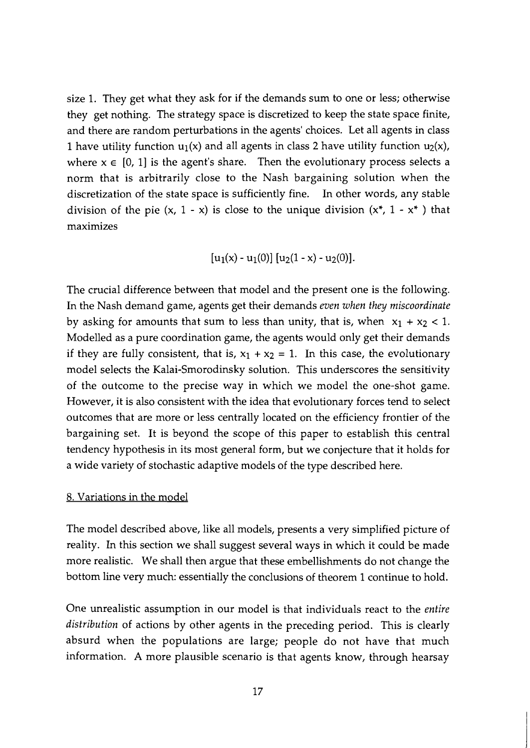size 1. They get what they ask for if the demands sum to one or less; otherwise they get nothing. The strategy space is discretized to keep the state space finite, and there are random perturbations in the agents' choices. Let all agents in class 1 have utility function  $u_1(x)$  and all agents in class 2 have utility function  $u_2(x)$ , where  $x \in [0, 1]$  is the agent's share. Then the evolutionary process selects a norm that is arbitrarily close to the Nash bargaining solution when the discretization of the state space is sufficiently fine. In other words, any stable division of the pie  $(x, 1 - x)$  is close to the unique division  $(x^*, 1 - x^*)$  that maximizes

$$
[u_1(x) - u_1(0)] [u_2(1 - x) - u_2(0)].
$$

The crucial difference between that model and the present one is the following. In the Nash demand game, agents get their demands *even when they miscoordinate*  by asking for amounts that sum to less than unity, that is, when  $x_1 + x_2 < 1$ . Modelled as a pure coordination game, the agents would only get their demands if they are fully consistent, that is,  $x_1 + x_2 = 1$ . In this case, the evolutionary model selects the Kalai-Smorodinsky solution. This underscores the sensitivity of the outcome to the precise way in which we model the one-shot game. However, it is also consistent with the idea that evolutionary forces tend to select outcomes that are more or less centrally located on the efficiency frontier of the bargaining set. It is beyond the scope of this paper to establish this central tendency hypothesis in its most general form, but we conjecture that it holds for a wide variety of stochastic adaptive models of the type described here.

#### 8. Variations in the model

The model described above, like all models, presents a very simplified picture of reality. In this section we shall suggest several ways in which it could be made more realistic. We shall then argue that these embellishments do not change the bottom line very much: essentially the conclusions of theorem 1 continue to hold.

One unrealistic assumption in our model is that individuals react to the *entire distribution* of actions by other agents in the preceding period. This is clearly absurd when the populations are large; people do not have that much information. A more plausible scenario is that agents know, through hearsay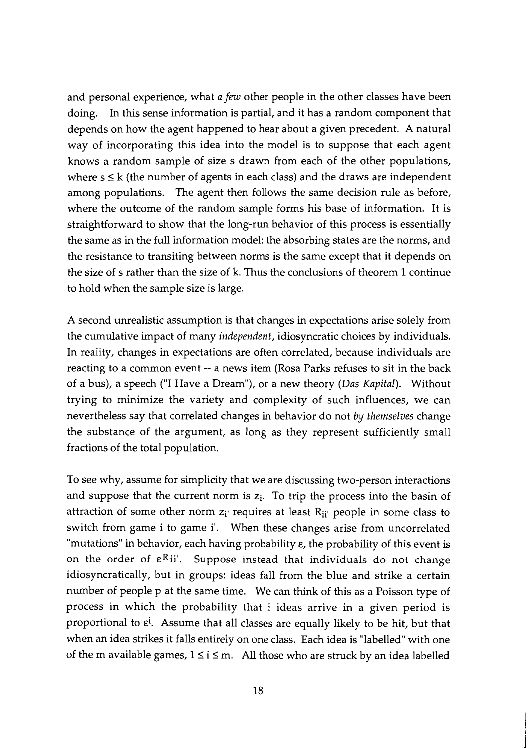and personal experience, what a few other people in the other classes have been doing. In this sense information is partial, and it has a random component that depends on how the agent happened to hear about a given precedent. A natural way of incorporating this idea into the model is to suppose that each agent knows a random sample of size s drawn from each of the other populations, where  $s \le k$  (the number of agents in each class) and the draws are independent among populations. The agent then follows the same decision rule as before, where the outcome of the random sample forms his base of information. It is straightforward to show that the long-run behavior of this process is essentially the same as in the full information model: the absorbing states are the norms, and the resistance to transiting between norms is the same except that it depends on the size of s rather than the size of k. Thus the conclusions of theorem 1 continue to hold when the sample size is large.

A second unrealistic assumption is that changes in expectations arise solely from the cumulative impact of many independent, idiosyncratic choices by individuals. In reality, changes in expectations are often correlated, because individuals are reacting to a common event -- a news item (Rosa Parks refuses to sit in the back of a bus), a speech ("I Have a Dream"), or a new theory (Das Kapital). Without trying to minimize the variety and complexity of such influences, we can nevertheless say that correlated changes in behavior do not by themselves change the substance of the argument, as long as they represent sufficiently small fractions of the total population.

To see why, assume for simplicity that we are discussing two-person interactions and suppose that the current norm is  $z_i$ . To trip the process into the basin of attraction of some other norm  $z_i$  requires at least  $R_{ii'}$  people in some class to switch from game i to game i'. When these changes arise from uncorrelated "mutations" in behavior, each having probability E, the probability of this event is on the order of  $\epsilon^{R}$ ii'. Suppose instead that individuals do not change idiosyncratically, but in groups: ideas fall from the blue and strike a certain number of people p at the same time. We can think of this as a Poisson type of process in which the probability that i ideas arrive in a given period is proportional to  $\varepsilon$ <sup>i</sup>. Assume that all classes are equally likely to be hit, but that when an idea strikes it falls entirely on one class. Each idea is "labelled" with one<br>of the m available games,  $1 \le i \le m$ . All those who are struck by an idea labelled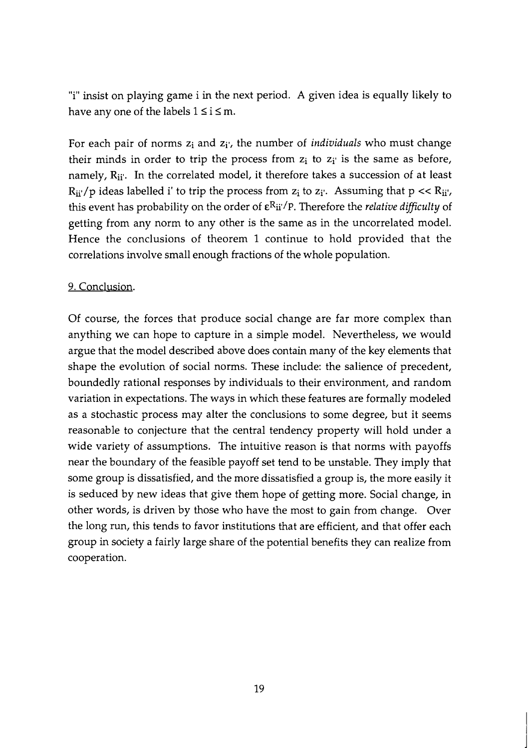"i" insist on playing game i in the next period. A given idea is equally likely to have any one of the labels  $1 \le i \le m$ .

For each pair of norms  $z_i$  and  $z_i$ , the number of *individuals* who must change their minds in order to trip the process from  $z_i$  to  $z_i$  is the same as before, namely, R<sub>ij</sub>'. In the correlated model, it therefore takes a succession of at least  $R_{ii'}/p$  ideas labelled i' to trip the process from  $z_i$  to  $z_i'$ . Assuming that  $p \ll R_{ii'}$ , this event has probability on the order of  $\varepsilon^{R}$ ii'/P. Therefore the *relative difficulty* of getting from any norm to any other is the same as in the uncorrelated model. Hence the conclusions of theorem 1 continue to hold provided that the correlations involve small enough fractions of the whole population.

# 9. Conclusion.

Of course, the forces that produce social change are far more complex than anything we can hope to capture in a simple model. Nevertheless, we would argue that the model described above does contain many of the key elements that shape the evolution of social norms. These include: the salience of precedent, boundedly rational responses by individuals to their environment, and random variation in expectations. The ways in which these features are formally modeled as a stochastic process may alter the conclusions to some degree, but it seems reasonable to conjecture that the central tendency property will hold under a wide variety of assumptions. The intuitive reason is that norms with payoffs near the boundary of the feasible payoff set tend to be unstable. They imply that some group is dissatisfied, and the more dissatisfied a group is, the more easily it is seduced by new ideas that give them hope of getting more. Social change, in other words, is driven by those who have the most to gain from change. Over the long run, this tends to favor institutions that are efficient, and that offer each group in society a fairly large share of the potential benefits they can realize from cooperation.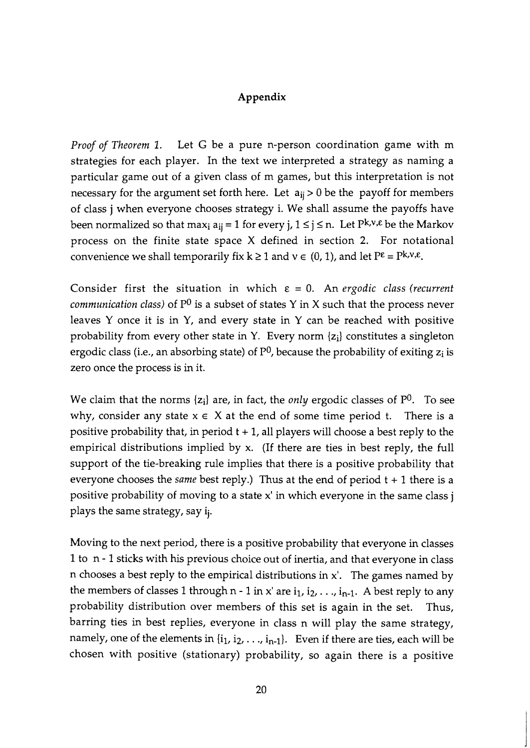#### **Appendix**

*Proof of Theorem 1.* Let G be a pure n-person coordination game with m strategies for each player. In the text we interpreted a strategy as naming a particular game out of a given class of m games, but this interpretation is not necessary for the argument set forth here. Let  $a_{ij} > 0$  be the payoff for members of class j when everyone chooses strategy i. We shall assume the payoffs have been normalized so that max<sub>i</sub>  $a_{ii} = 1$  for every j,  $1 \le j \le n$ . Let  $P^{k,v,\epsilon}$  be the Markov process on the finite state space X defined in section **2.** For notational convenience we shall temporarily fix  $k \ge 1$  and  $v \in (0, 1)$ , and let  $P^{\varepsilon} = P^{k,v,\varepsilon}$ .

Consider first the situation in which  $\varepsilon = 0$ . An *ergodic class (recurrent communication class)* of  $P^0$  is a subset of states Y in X such that the process never leaves Y once it is in Y, and every state in Y can be reached with positive probability from every other state in Y. Every norm {zi] constitutes a singleton ergodic class (i.e., an absorbing state) of  $P^0$ , because the probability of exiting  $z_i$  is zero once the process is in it.

We claim that the norms  $\{z_i\}$  are, in fact, the *only* ergodic classes of  $P^0$ . To see why, consider any state  $x \in X$  at the end of some time period t. There is a positive probability that, in period  $t + 1$ , all players will choose a best reply to the empirical distributions implied by x. (If there are ties in best reply, the full support of the tie-breaking rule implies that there is a positive probability that everyone chooses the *same* best reply.) Thus at the end of period t + 1 there is a positive probability of moving to a state x' in which everyone in the same class j plays the same strategy, say ij.

Moving to the next period, there is a positive probability that everyone in classes 1 to n - 1 sticks with his previous choice out of inertia, and that everyone in class n chooses a best reply to the empirical distributions in x'. The games named by the members of classes 1 through n - 1 in x' are  $i_1$ ,  $i_2$ , ...,  $i_{n-1}$ . A best reply to any probability distribution over members of this set is again in the set. Thus, barring ties in best replies, everyone in class n will play the same strategy, namely, one of the elements in  $\{i_1, i_2, \ldots, i_{n-1}\}$ . Even if there are ties, each will be chosen with positive (stationary) probability, so again there is a positive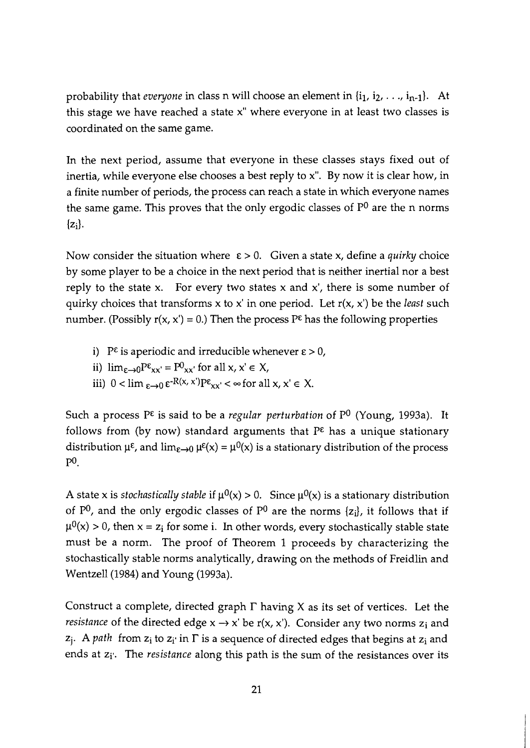probability that *everyone* in class n will choose an element in  $\{i_1, i_2, \ldots, i_{n-1}\}$ . At this stage we have reached a state x" where everyone in at least two classes is coordinated on the same game.

In the next period, assume that everyone in these classes stays fixed out of inertia, while everyone else chooses a best reply to x". By now it is clear how, in a finite number of periods, the process can reach a state in which everyone names the same game. This proves that the only ergodic classes of  $P^0$  are the n norms  $\{z_i\}$ .

Now consider the situation where  $\varepsilon > 0$ . Given a state x, define a *quirky* choice by some player to be a choice in the next period that is neither inertial nor a best reply to the state x. For every two states x and  $x'$ , there is some number of quirky choices that transforms x to x' in one period. Let r(x, x') be the *least* such number. (Possibly  $r(x, x') = 0$ .) Then the process P<sup> $\epsilon$ </sup> has the following properties

- i)  $P^{\varepsilon}$  is aperiodic and irreducible whenever  $\varepsilon > 0$ ,
- ii)  $\lim_{\varepsilon \to 0} P^{\varepsilon}_{xx'} = P^0_{xx'}$  for all x, x'  $\in X$ ,
- iii)  $0 < \lim_{\varepsilon \to 0} \varepsilon^{R(x, x')} P_{xx'} < \infty$  for all  $x, x' \in X$ .

Such a process P<sup> $\varepsilon$ </sup> is said to be a *regular perturbation* of P<sup>0</sup> (Young, 1993a). It follows from (by now) standard arguments that  $P^{\epsilon}$  has a unique stationary distribution  $\mu^{\epsilon}$ , and  $\lim_{\epsilon \to 0} \mu^{\epsilon}(x) = \mu^0(x)$  is a stationary distribution of the process  $P^0$ .

A state x is *stochastically stable* if  $\mu^{0}(x) > 0$ . Since  $\mu^{0}(x)$  is a stationary distribution of  $P^0$ , and the only ergodic classes of  $P^0$  are the norms { $z_i$ }, it follows that if  $\mu^{0}(x) > 0$ , then  $x = z_i$  for some i. In other words, every stochastically stable state must be a norm. The proof of Theorem 1 proceeds by characterizing the stochastically stable norms analytically, drawing on the methods of Freidlin and Wentzell(1984) and Young (1993a).

Construct a complete, directed graph  $\Gamma$  having X as its set of vertices. Let the *resistance* of the directed edge  $x \rightarrow x'$  be  $r(x, x')$ . Consider any two norms  $z_i$  and  $z_i$ . A *path* from  $z_i$  to  $z_i$  in  $\Gamma$  is a sequence of directed edges that begins at  $z_i$  and ends at z<sub>i'</sub>. The *resistance* along this path is the sum of the resistances over its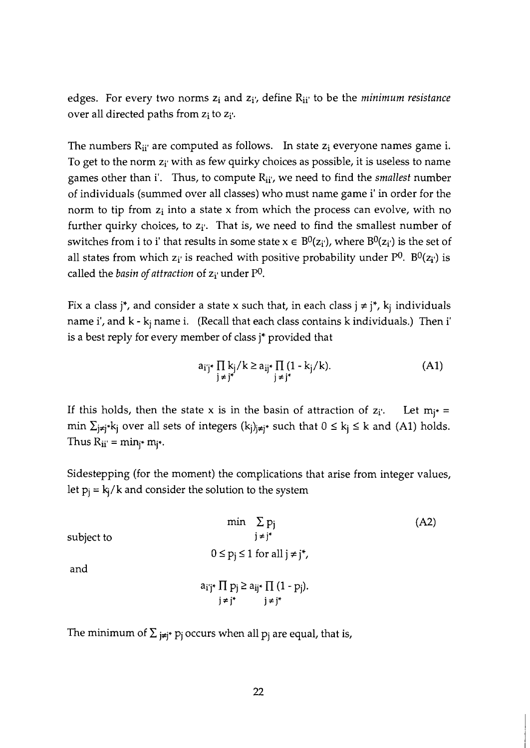edges. For every two norms  $z_i$  and  $z_i$ ; define  $R_{ii'}$  to be the *minimum resistance* over all directed paths from  $z_i$  to  $z_i$ .

The numbers  $R_{ii'}$  are computed as follows. In state  $z_i$  everyone names game i. To get to the norm  $z_i$  with as few quirky choices as possible, it is useless to name games other than if. Thus, to compute Ri?, we need to find the *smallest* number of individuals (summed over all classes) who must name game i' in order for the norm to tip from  $z_i$  into a state x from which the process can evolve, with no further quirky choices, to  $z_i$ <sup>r</sup>. That is, we need to find the smallest number of switches from i to i' that results in some state  $x \in B^0(z_i)$ , where  $B^0(z_i)$  is the set of all states from which  $z_i$  is reached with positive probability under  $P^0$ .  $B^0(z_i)$  is called the *basin of attraction* of  $z_i$  under P<sup>0</sup>.

Fix a class j<sup>\*</sup>, and consider a state x such that, in each class  $j \neq j^*$ ,  $k_j$  individuals name i', and  $k - k_i$  name i. (Recall that each class contains  $k$  individuals.) Then i' is a best reply for every member of class j\* provided that

$$
a_{ij}^* \prod_{j \neq j^*} k_j / k \ge a_{ij}^* \prod_{j \neq j^*} (1 - k_j / k). \tag{A1}
$$

If this holds, then the state x is in the basin of attraction of  $z_i$ . Let  $m_i* =$ min  $\sum_{j\neq j^*} k_j$  over all sets of integers  $(k_j)_{j\neq j^*}$  such that  $0 \leq k_j \leq k$  and (A1) holds. Thus  $R_{ii'} = min_{i^*} m_{i^*}.$ 

Sidestepping (for the moment) the complications that arise from integer values, let  $p_i = k_i/k$  and consider the solution to the system

$$
\min \sum_{j \neq j^*} p_j
$$
\nsubject to

\n
$$
0 \leq p_j \leq 1 \text{ for all } j \neq j^*,
$$
\nand

\n
$$
a_{i^*j^*} \prod p_j \geq a_{ij^*} \prod (1 - p_j).
$$
\n
$$
j \neq j^* \qquad j \neq j^*
$$
\n(A2)

The minimum of  $\Sigma_{j\neq j^*}$  p<sub>j</sub> occurs when all p<sub>j</sub> are equal, that is,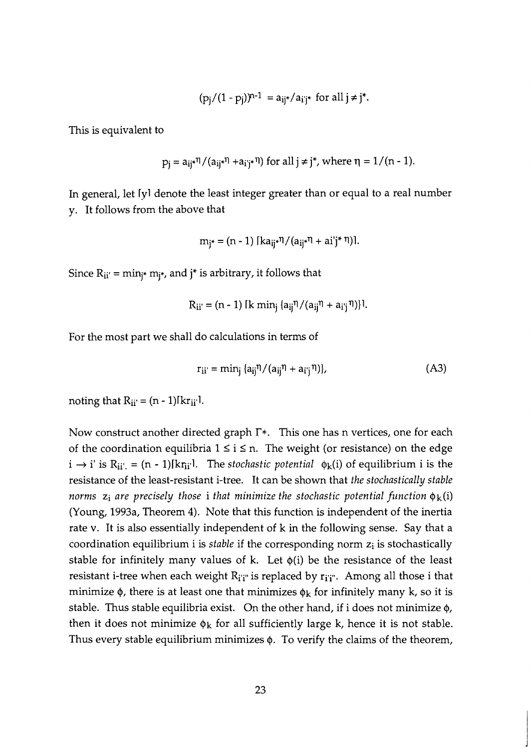$$
(p_i/(1-p_i))^{n-1} = a_{ij^*}/a_{i^*}
$$
 for all  $j \neq j^*$ .

This is equivalent to

$$
p_j = a_{ij} \cdot \eta / (a_{ij} \cdot \eta + a_{i'j} \cdot \eta) \text{ for all } j \neq j^*, \text{ where } \eta = 1/(n-1).
$$

In general, let Iyl denote the least integer greater than or equal to a real number y. It follows from the above that

$$
m_{i^*} = (n-1) [ka_{ii^*}\eta/(a_{ii^*}\eta + ai^*j^*\eta)].
$$

Since  $R_{ii'} = min_{i^*} m_{i^*}$ , and  $j^*$  is arbitrary, it follows that

$$
R_{ii'} = (n-1) \left[ k \min_j \left\{ a_{ij} \eta / (a_{ij} \eta + a_{ij} \eta) \right\} \right]
$$

For the most part we shall do calculations in terms of

$$
r_{ii'} = \min_{j} \{a_{ij}\eta/(a_{ij}\eta + a_{i'j}\eta)\},
$$
 (A3)

noting that  $R_{ii'} = (n - 1) [kr_{ii'}]$ .

Now construct another directed graph **T\*.** This one has n vertices, one for each of the coordination equilibria  $1 \le i \le n$ . The weight (or resistance) on the edge  $i \rightarrow i'$  is  $R_{ii'} = (n - 1)[kr_{ii'}]$ . The *stochastic potential*  $\phi_k(i)$  of equilibrium i is the resistance of the least-resistant i-tree. It can be shown that *the stochastically stable norms*  $z_i$  *are precisely those i that minimize the stochastic potential function*  $\phi_k(i)$ (Young, 1993a, Theorem **4).** Note that this function is independent of the inertia rate v. It is also essentially independent of k in the following sense. Say that a coordination equilibrium i is *stable* if the corresponding norm  $z_i$  is stochastically stable for infinitely many values of k. Let  $\phi(i)$  be the resistance of the least resistant i-tree when each weight  $R_{i'i''}$  is replaced by  $r_{i'i''}$ . Among all those i that minimize  $\phi$ , there is at least one that minimizes  $\phi_k$  for infinitely many k, so it is stable. Thus stable equilibria exist. On the other hand, if i does not minimize  $\phi$ , then it does not minimize  $\phi_k$  for all sufficiently large k, hence it is not stable. Thus every stable equilibrium minimizes  $\phi$ . To verify the claims of the theorem,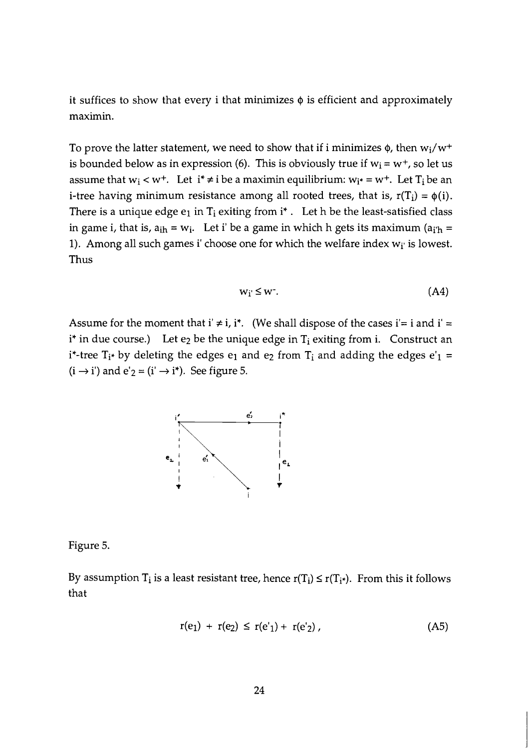it suffices to show that every i that minimizes  $\phi$  is efficient and approximately maximin.

To prove the latter statement, we need to show that if i minimizes  $\phi$ , then w<sub>i</sub>/w<sup>+</sup> is bounded below as in expression (6). This is obviously true if  $w_i = w^+$ , so let us assume that  $w_i < w^+$ . Let  $i^* \neq i$  be a maximin equilibrium:  $w_{i^*} = w^+$ . Let  $T_i$  be an i-tree having minimum resistance among all rooted trees, that is,  $r(T_i) = \phi(i)$ . There is a unique edge  $e_1$  in  $T_i$  exiting from  $i^*$ . Let h be the least-satisfied class in game i, that is,  $a_{ih} = w_i$ . Let i' be a game in which h gets its maximum ( $a_{i'h} =$ 1). Among all such games i' choose one for which the welfare index  $w_i$  is lowest. Thus

$$
w_i \leq w^2. \tag{A4}
$$

Assume for the moment that i'  $\neq$  i, i\*. (We shall dispose of the cases i'= i and i' =  $i^*$  in due course.) Let  $e_2$  be the unique edge in  $T_i$  exiting from i. Construct an  $i^*$ -tree  $T_{i^*}$  by deleting the edges  $e_1$  and  $e_2$  from  $T_i$  and adding the edges  $e'_1$  =  $(i \rightarrow i')$  and  $e'_{2} = (i' \rightarrow i^{*})$ . See figure 5.



Figure 5.

By assumption  $T_i$  is a least resistant tree, hence  $r(T_i) \le r(T_{i^*})$ . From this it follows that

$$
r(e_1) + r(e_2) \le r(e'_1) + r(e'_2) \tag{A5}
$$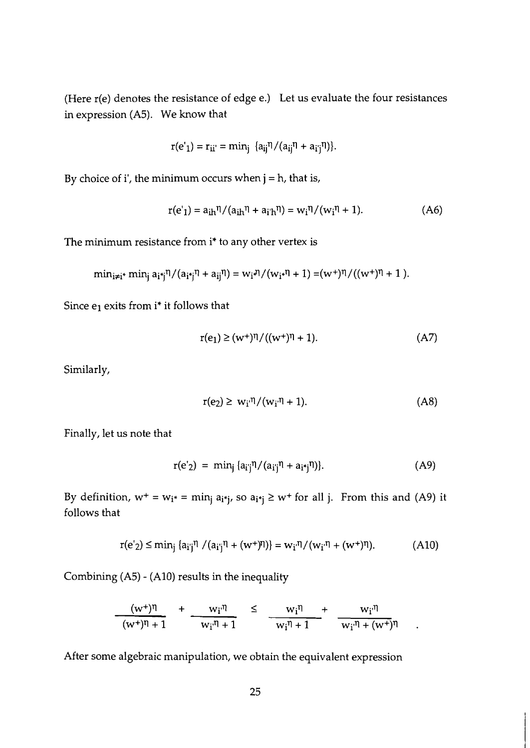(Here r(e) denotes the resistance of edge e.) Let us evaluate the four resistances in expression (A5). We know that

$$
r(e'_1) = r_{ii'} = min_j \{a_{ij}^{\eta} / (a_{ij}^{\eta} + a_{ij}^{\eta})\}.
$$

By choice of i', the minimum occurs when  $j = h$ , that is,

$$
r(e'_{1}) = a_{ih}\eta/(a_{ih}\eta + a_{i'h}\eta) = w_{i}\eta/(w_{i}\eta + 1).
$$
 (A6)

The minimum resistance from i\* to any other vertex is

$$
min_{i\neq i^*} min_j a_{i^*j} \eta/(a_{i^*j} \eta + a_{ij} \eta) = w_i \eta/(w_{i^*} \eta + 1) = (w^*) \eta/((w^*) \eta + 1).
$$

Since  $e_1$  exits from i\* it follows that

$$
r(e_1) \ge (w^+)^{\eta} / ((w^+)^{\eta} + 1). \tag{A7}
$$

Similarly,

$$
r(e_2) \geq w_i \eta / (w_i \eta + 1). \tag{A8}
$$

 $\ddot{\phantom{1}}$ 

Finally, let us note that

$$
r(e'_{2}) = min_{j} \{a_{ij}\eta/(a_{ij}\eta + a_{i}I_{j}\eta)\}.
$$
 (A9)

By definition,  $w^+ = w_{i^*} = \min_i a_{i^*j}$ , so  $a_{i^*j} \geq w^+$  for all j. From this and (A9) it follows that

$$
r(e'_{2}) \leq \min_{j} \{a_{i'j}\eta / (a_{i'j}\eta + (w^{+})\eta)\} = w_{i'}\eta / (w_{i'}\eta + (w^{+})\eta). \tag{A10}
$$

Combining (A5) - (A10) results in the inequality

$$
\frac{(w^+)^{\eta}}{(w^+)^{\eta}+1} + \frac{w_i^{\eta}}{w_i^{\eta}+1} \leq \frac{w_i^{\eta}}{w_i^{\eta}+1} + \frac{w_i^{\eta}}{w_i^{\eta}+(w^+)^{\eta}}
$$

After some algebraic manipulation, we obtain the equivalent expression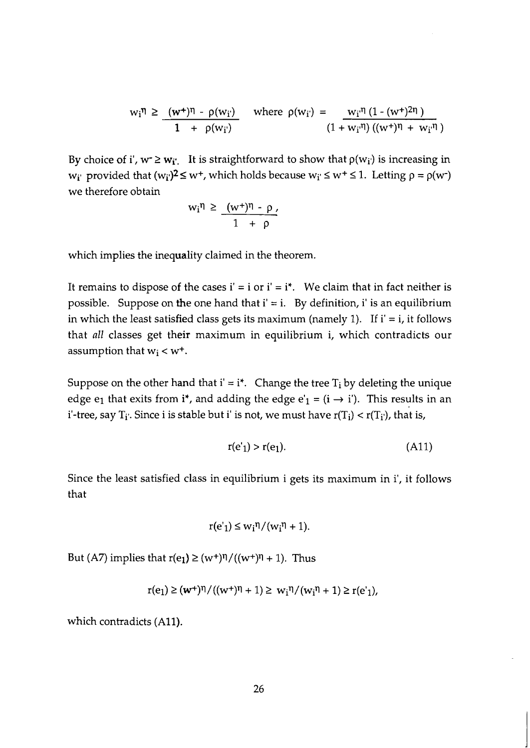$$
w_i^{\eta} \geq \frac{(w^+)^{\eta} - \rho(w_i)}{1 \ + \ \rho(w_i)} \quad \text{where } \rho(w_i) = \frac{w_i^{\eta} (1 - (w^+)^{2\eta})}{(1 + w_i^{\eta}) ((w^+)^{\eta} + w_i^{\eta})}
$$

By choice of i',  $w \ge w_i$ . It is straightforward to show that  $p(w_i)$  is increasing in  $w_i$  provided that  $(w_i)^2 \leq w^+$ , which holds because  $w_i \leq w^+ \leq 1$ . Letting  $p = p(w^+)$ we therefore obtain

$$
w_i \eta \geq \frac{(w^+)^{\eta} - \rho}{1 + \rho'}
$$

which implies the inequality claimed in the theorem.

It remains to dispose of the cases  $i' = i$  or  $i' = i^*$ . We claim that in fact neither is possible. Suppose on the one hand that  $i' = i$ . By definition, i' is an equilibrium in which the least satisfied class gets its maximum (namely 1). If  $i' = i$ , it follows that all classes get their maximum in equilibrium i, which contradicts our assumption that  $w_i < w^+$ .

Suppose on the other hand that  $i' = i^*$ . Change the tree  $T_i$  by deleting the unique edge e<sub>1</sub> that exits from i<sup>\*</sup>, and adding the edge e'<sub>1</sub> = (i  $\rightarrow$  i'). This results in an i'-tree, say  $T_i$ . Since i is stable but i' is not, we must have  $r(T_i) < r(T_i)$ , that is,

$$
r(e'_1) > r(e_1). \tag{A11}
$$

Since the least satisfied class in equilibrium i gets its maximum in i', it follows that

$$
r(e'_{1}) \leq w_{i}\eta/(w_{i}\eta + 1).
$$

But (A7) implies that  $r(e_1) \geq (w^+)^{\eta}/((w^+)^{\eta} + 1)$ . Thus

$$
r(e_1) \ge (w^+)^{\eta}/((w^+)^{\eta} + 1) \ge w_i^{\eta}/(w_i^{\eta} + 1) \ge r(e'_1),
$$

which contradicts (A11).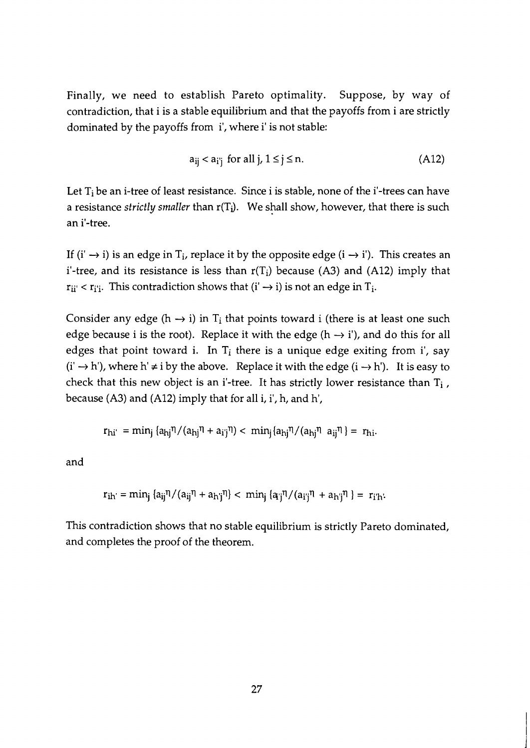Finally, we need to establish Pareto optimality. Suppose, by way of contradiction, that i is a stable equilibrium and that the payoffs from i are strictly dominated by the payoffs from i', where i' is not stable:

$$
a_{ij} < a_{i'j} \text{ for all } j, 1 \leq j \leq n. \tag{A12}
$$

Let  $T_i$  be an i-tree of least resistance. Since i is stable, none of the i'-trees can have a resistance *strictly smaller* than r(Ti). We shall show, however, that there is such an i'-tree.

If (i'  $\rightarrow$  i) is an edge in T<sub>i</sub>, replace it by the opposite edge (i  $\rightarrow$  i'). This creates an i'-tree, and its resistance is less than  $r(T_i)$  because (A3) and (A12) imply that  $r_{ii'} < r_{i'i}$ . This contradiction shows that  $(i' \rightarrow i)$  is not an edge in  $T_i$ .

Consider any edge (h  $\rightarrow$  i) in T<sub>i</sub> that points toward i (there is at least one such edge because i is the root). Replace it with the edge ( $h \rightarrow i'$ ), and do this for all edges that point toward i. In  $T_i$  there is a unique edge exiting from i', say  $(i' \rightarrow h')$ , where h'  $\neq i$  by the above. Replace it with the edge  $(i \rightarrow h')$ . It is easy to check that this new object is an i'-tree. It has strictly lower resistance than  $T_i$ , because (A3) and (A12) imply that for all i, i', h, and h',

$$
r_{\text{hi'}} = \min_j \left( a_{\text{hj}}^{\eta} / (a_{\text{hj}}^{\eta} + a_{\text{i'j}}^{\eta}) \right) < \min_j \left( a_{\text{hj}}^{\eta} / (a_{\text{hj}}^{\eta} \, a_{\text{i'j}}^{\eta}) \right) = r_{\text{hi}}.
$$

and

$$
r_{ih'} = min_i \{a_{ij}\eta/(a_{ij}\eta + a_{h'j}\eta) < min_i \{a_{ij}\eta/(a_{ij}\eta + a_{h'j}\eta)\} = r_{i'h'}
$$

This contradiction shows that no stable equilibrium is strictly Pareto dominated, and completes the proof of the theorem.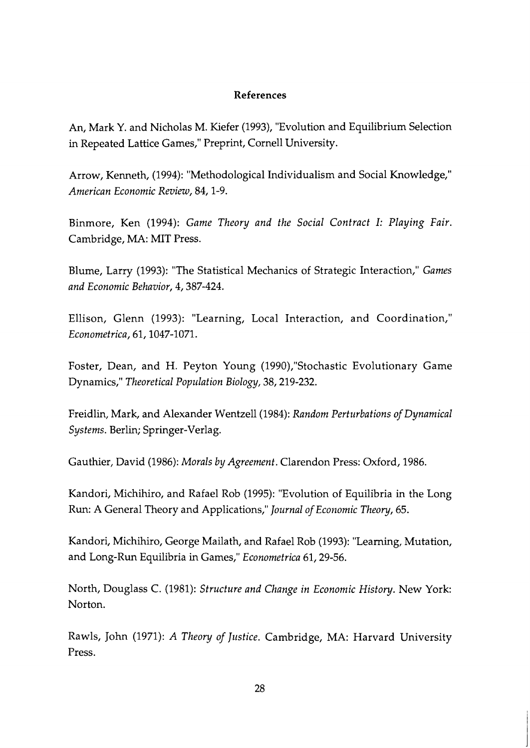#### **References**

An, Mark Y. and Nicholas M. Kiefer (1993), "Evolution and Equilibrium Selection in Repeated Lattice Games," Preprint, Cornell University.

Arrow, Kenneth, (1994): "Methodological Individualism and Social Knowledge," American Economic Review, 84, 1-9.

Binmore, Ken (1994): Game Theory and the Social Contract I: Playing Fair. Cambridge, MA: MIT Press.

Blume, Larry (1993): "The Statistical Mechanics of Strategic Interaction," Games and Economic Behavior, 4,387-424.

Ellison, Glenn (1993): "Learning, Local Interaction, and Coordination," Econometrica, 61,1047-1071.

Foster, Dean, and H. Peyton Young (1990),"Stochastic Evolutionary Game Dynamics," Theoretical Population Biology, 38,219-232.

Freidlin, Mark, and Alexander Wentzell(1984): Random Perturbations of Dynamical Systems. Berlin; Springer-Verlag.

Gauthier, David (1986): Morals by Agreement. Clarendon Press: Oxford, 1986.

Kandori, Michihiro, and Rafael Rob (1995): "Evolution of Equilibria in the Long Run: A General Theory and Applications," Journal of Economic Theory, 65.

Kandori, Michihiro, George Mailath, and Rafael Rob (1993): "Learning, Mutation, and Long-Run Equilibria in Games," Econometrica 61, 29-56.

North, Douglass C. (1981): Structure and Change in Economic Histoy. New York: Norton.

Rawls, John (1971): A Theory of Justice. Cambridge, MA: Harvard University Press.